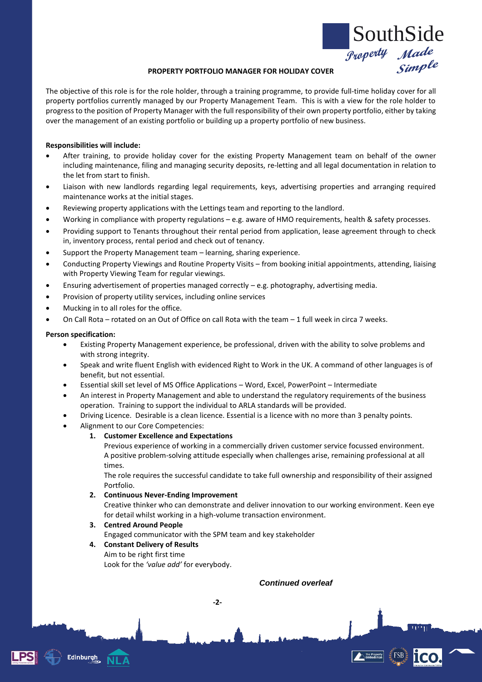

## **PROPERTY PORTFOLIO MANAGER FOR HOLIDAY COVER**

The objective of this role is for the role holder, through a training programme, to provide full-time holiday cover for all property portfolios currently managed by our Property Management Team. This is with a view for the role holder to progress to the position of Property Manager with the full responsibility of their own property portfolio, either by taking over the management of an existing portfolio or building up a property portfolio of new business.

#### **Responsibilities will include:**

- After training, to provide holiday cover for the existing Property Management team on behalf of the owner including maintenance, filing and managing security deposits, re-letting and all legal documentation in relation to the let from start to finish.
- Liaison with new landlords regarding legal requirements, keys, advertising properties and arranging required maintenance works at the initial stages.
- Reviewing property applications with the Lettings team and reporting to the landlord.
- Working in compliance with property regulations e.g. aware of HMO requirements, health & safety processes.
- Providing support to Tenants throughout their rental period from application, lease agreement through to check in, inventory process, rental period and check out of tenancy.
- Support the Property Management team learning, sharing experience.
- Conducting Property Viewings and Routine Property Visits from booking initial appointments, attending, liaising with Property Viewing Team for regular viewings.
- Ensuring advertisement of properties managed correctly e.g. photography, advertising media.
- Provision of property utility services, including online services
- Mucking in to all roles for the office.
- On Call Rota rotated on an Out of Office on call Rota with the team 1 full week in circa 7 weeks.

### **Person specification:**

**Edinburgh** 

- Existing Property Management experience, be professional, driven with the ability to solve problems and with strong integrity.
- Speak and write fluent English with evidenced Right to Work in the UK. A command of other languages is of benefit, but not essential.
- Essential skill set level of MS Office Applications Word, Excel, PowerPoint Intermediate
- An interest in Property Management and able to understand the regulatory requirements of the business operation. Training to support the individual to ARLA standards will be provided.
- Driving Licence. Desirable is a clean licence. Essential is a licence with no more than 3 penalty points.
- Alignment to our Core Competencies:
	- **1. Customer Excellence and Expectations**

Previous experience of working in a commercially driven customer service focussed environment. A positive problem-solving attitude especially when challenges arise, remaining professional at all times.

The role requires the successful candidate to take full ownership and responsibility of their assigned Portfolio.

#### **2. Continuous Never-Ending Improvement**

Creative thinker who can demonstrate and deliver innovation to our working environment. Keen eye for detail whilst working in a high-volume transaction environment.

## **3. Centred Around People**

Engaged communicator with the SPM team and key stakeholder

**-2-**

## **4. Constant Delivery of Results**

Aim to be right first time Look for the *'value add'* for everybody.

# *Continued overleaf*